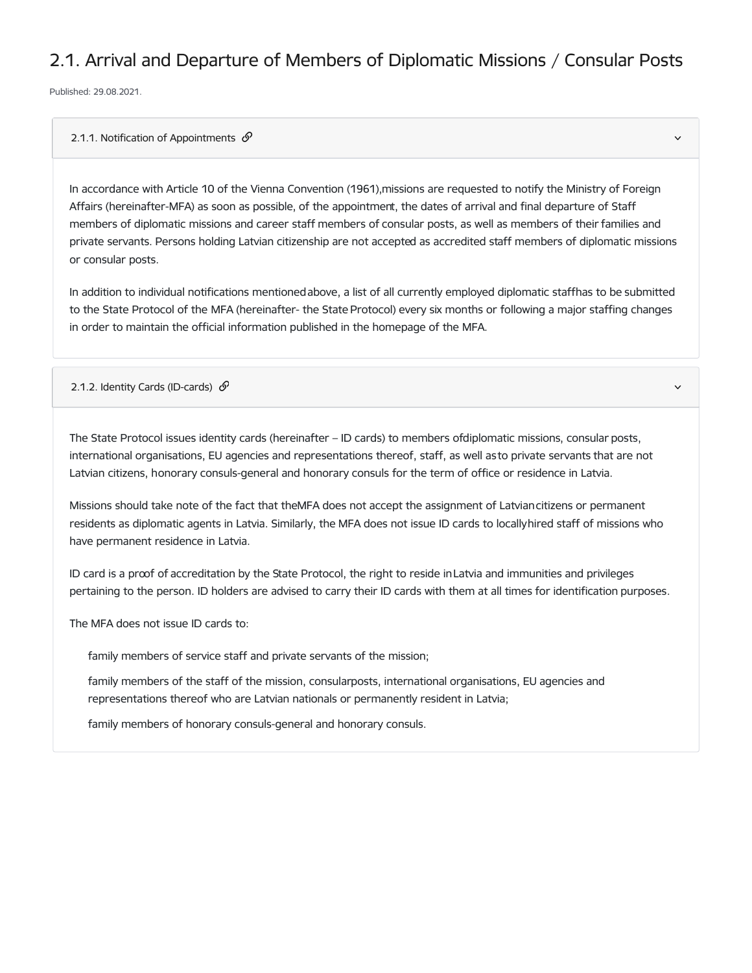## 2.1. Arrival and Departure of Members of Diplomatic Missions / Consular Posts

Published: 29.08.2021.

## 2.1.1. Notification of Appointments  $\mathcal{P}$

In accordance with Article 10 of the Vienna Convention (1961),missions are requested to notify the Ministry of Foreign Affairs (hereinafter-MFA) as soon as possible, of the appointment, the dates of arrival and final departure of Staff members of diplomatic missions and career staff members of consular posts, as well as members of their families and private servants. Persons holding Latvian citizenship are not accepted as accredited staff members of diplomatic missions or consular posts.

In addition to individual notifications mentionedabove, a list of all currently employed diplomatic staffhas to be submitted to the State Protocol of the MFA (hereinafter- the State Protocol) every six months or following a major staffing changes in order to maintain the official information published in the homepage of the MFA.

## 2.1.2. Identity Cards (ID-cards)  $\mathcal{S}$

The State Protocol issues identity cards (hereinafter – ID cards) to members ofdiplomatic missions, consular posts, international organisations, EU agencies and representations thereof, staff, as well asto private servants that are not Latvian citizens, honorary consuls-general and honorary consuls for the term of office or residence in Latvia.

Missions should take note of the fact that theMFA does not accept the assignment of Latviancitizens or permanent residents as diplomatic agents in Latvia. Similarly, the MFA does not issue ID cards to locallyhired staff of missions who have permanent residence in Latvia.

ID card is a proof of accreditation by the State Protocol, the right to reside inLatvia and immunities and privileges pertaining to the person. ID holders are advised to carry their ID cards with them at all times for identification purposes.

The MFA does not issue ID cards to:

family members of service staff and private servants of the mission;

family members of the staff of the mission, consularposts, international organisations, EU agencies and representations thereof who are Latvian nationals or permanently resident in Latvia;

family members of honorary consuls-general and honorary consuls.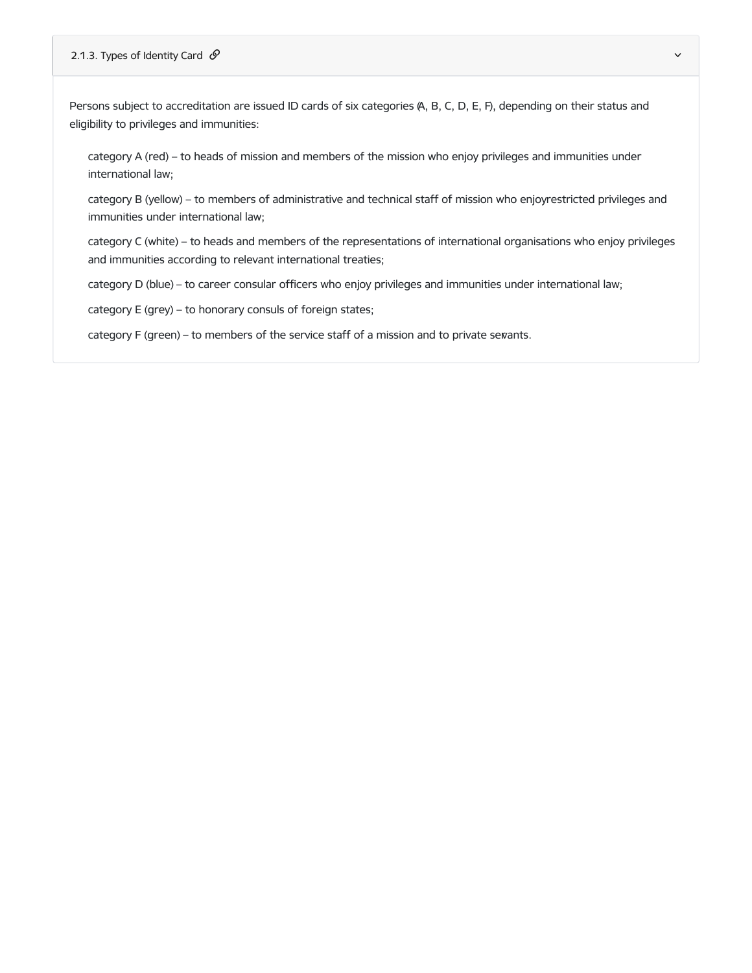Persons subject to accreditation are issued ID cards of six categories (A, B, C, D, E, F), depending on their status and eligibility to privileges and immunities:

category A (red) – to heads of mission and members of the mission who enjoy privileges and immunities under international law;

category B (yellow) – to members of administrative and technical staff of mission who enjoyrestricted privileges and immunities under international law;

category C (white) – to heads and members of the representations of international organisations who enjoy privileges and immunities according to relevant international treaties;

category D (blue) – to career consular officers who enjoy privileges and immunities under international law;

category E (grey) – to honorary consuls of foreign states;

category F (green) – to members of the service staff of a mission and to private servants.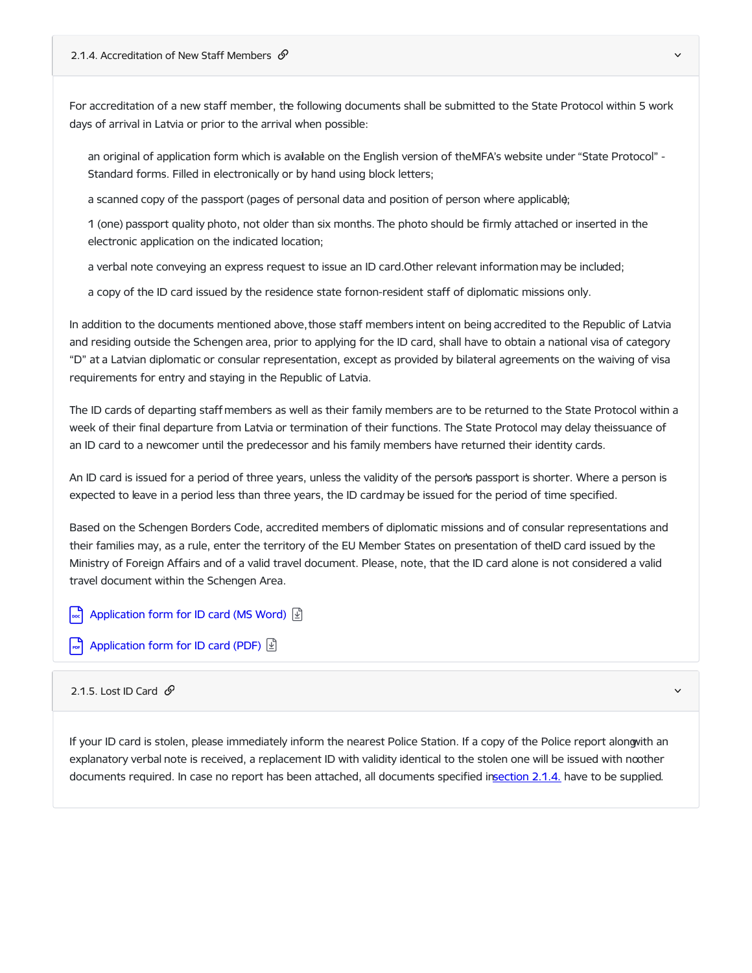For accreditation of a new staff member, the following documents shall be submitted to the State Protocol within 5 work days of arrival in Latvia or prior to the arrival when possible:

an original of application form which is avalable on the English version of theMFA's website under "State Protocol" -Standard forms. Filled in electronically or by hand using block letters;

a scanned copy of the passport (pages of personal data and position of person where applicable);

1 (one) passport quality photo, not older than six months. The photo should be firmly attached or inserted in the electronic application on the indicated location;

a verbal note conveying an express request to issue an ID card.Other relevant information may be included;

a copy of the ID card issued by the residence state fornon-resident staff of diplomatic missions only.

In addition to the documents mentioned above, those staff members intent on being accredited to the Republic of Latvia and residing outside the Schengen area, prior to applying for the ID card, shall have to obtain a national visa of category "D" at a Latvian diplomatic or consular representation, except as provided by bilateral agreements on the waiving of visa requirements for entry and staying in the Republic of Latvia.

The ID cards of departing staff members as well as their family members are to be returned to the State Protocol within a week of their final departure from Latvia or termination of their functions. The State Protocol may delay theissuance of an ID card to a newcomer until the predecessor and his family members have returned their identity cards.

An ID card is issued for a period of three years, unless the validity of the person's passport is shorter. Where a person is expected to leave in a period less than three years, the ID cardmay be issued for the period of time specified.

Based on the Schengen Borders Code, accredited members of diplomatic missions and of consular representations and their families may, as a rule, enter the territory of the EU Member States on presentation of theID card issued by the Ministry of Foreign Affairs and of a valid travel document. Please, note, that the ID card alone is not considered a valid travel document within the Schengen Area.

[Application](https://www.mfa.gov.lv/en/media/2362/download) form for ID card (MS Word)  $\boxed{D}$ 

 $\boxed{\bullet}$  [Application](https://www.mfa.gov.lv/en/media/2361/download) form for ID card (PDF)  $\boxed{\updownarrow}$ 

2.1.5. Lost ID Card  $\mathcal{O}$ 

If your ID card is stolen, please immediately inform the nearest Police Station. If a copy of the Police report alongwith an explanatory verbal note is received, a replacement ID with validity identical to the stolen one will be issued with noother documents required. In case no report has been attached, all documents specified i[nsection](https://www.mfa.gov.lv/en/2-diplomat-latvia#214-accreditation-new-staff-members) 2.1.4. have to be supplied.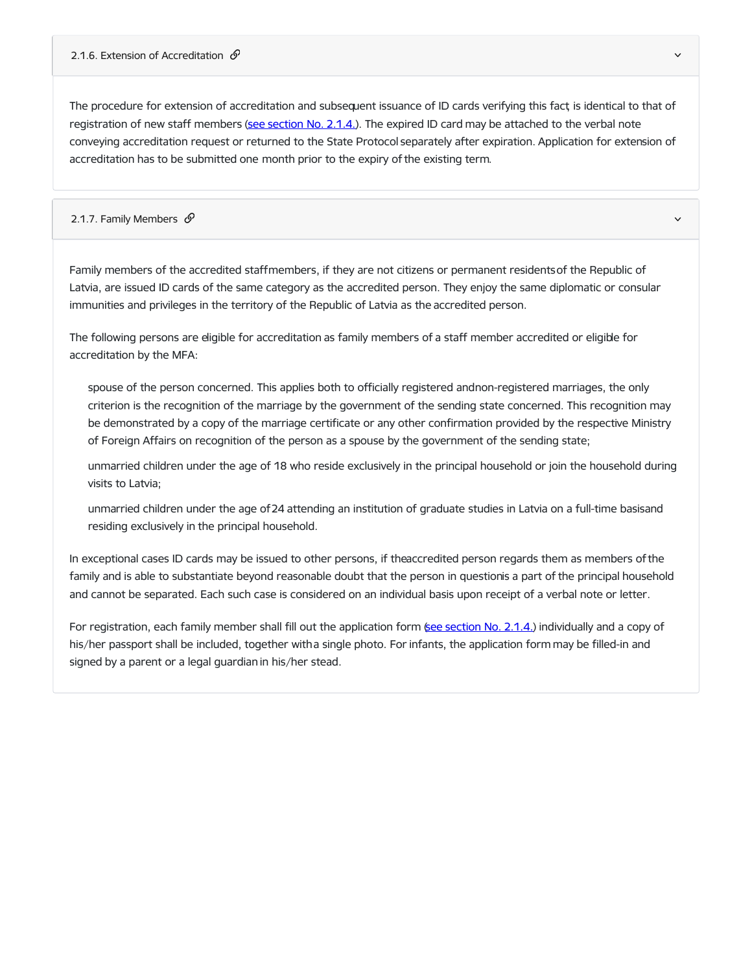The procedure for extension of accreditation and subsequent issuance of ID cards verifying this fact, is identical to that of registration of new staff members (see [section](https://www.mfa.gov.lv/en/2-diplomat-latvia#214-accreditation-new-staff-members) No. [2.1.4.](https://www.mfa.gov.lv/en/2-diplomat-latvia#214-accreditation-new-staff-members)). The expired ID card may be attached to the verbal note conveying accreditation request or returned to the State Protocol separately after expiration. Application for extension of accreditation has to be submitted one month prior to the expiry of the existing term.

## 2.1.7. Family Members  $\mathscr O$  and the contract of the contract of the contract of the contract of the contract of the contract of the contract of the contract of the contract of the contract of the contract of the contract

Family members of the accredited staffmembers, if they are not citizens or permanent residentsof the Republic of Latvia, are issued ID cards of the same category as the accredited person. They enjoy the same diplomatic or consular immunities and privileges in the territory of the Republic of Latvia as the accredited person.

The following persons are eligible for accreditation as family members of a staff member accredited or eligible for accreditation by the MFA:

spouse of the person concerned. This applies both to officially registered andnon-registered marriages, the only criterion is the recognition of the marriage by the government of the sending state concerned. This recognition may be demonstrated by a copy of the marriage certificate or any other confirmation provided by the respective Ministry of Foreign Affairs on recognition of the person as a spouse by the government of the sending state;

unmarried children under the age of 18 who reside exclusively in the principal household or join the household during visits to Latvia;

unmarried children under the age of24 attending an institution of graduate studies in Latvia on a full-time basisand residing exclusively in the principal household.

In exceptional cases ID cards may be issued to other persons, if theaccredited person regards them as members ofthe family and is able to substantiate beyond reasonable doubt that the person in questionis a part of the principal household and cannot be separated. Each such case is considered on an individual basis upon receipt of a verbal note or letter.

For registration, each family member shall fill out the application form (see [section](https://www.mfa.gov.lv/en/2-diplomat-latvia#214-accreditation-new-staff-members) No. [2.1.4.](https://www.mfa.gov.lv/en/2-diplomat-latvia#accreditation-new-staff-members)) individually and a copy of his/her passport shall be included, together witha single photo. For infants, the application form may be filled-in and signed by a parent or a legal guardian in his/her stead.